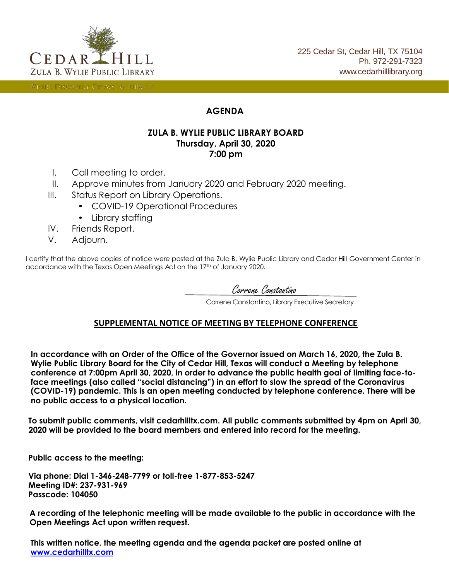

WHERE DISCOVERY GROWS NATURALLY

#### **AGENDA**

#### **ZULA B. WYLIE PUBLIC LIBRARY BOARD Thursday, April 30, 2020 7:00 pm**

- I. Call meeting to order.
- II. Approve minutes from January 2020 and February 2020 meeting.
- III. Status Report on Library Operations.
	- COVID-19 Operational Procedures
	- Library staffing
- IV. Friends Report.
- V. Adjourn.

I certify that the above copies of notice were posted at the Zula B. Wylie Public Library and Cedar Hill Government Center in accordance with the Texas Open Meetings Act on the 17<sup>th</sup> of January 2020.

Correne Constantino

Correne Constantino, Library Executive Secretary

#### **SUPPLEMENTAL NOTICE OF MEETING BY TELEPHONE CONFERENCE**

**In accordance with an Order of the Office of the Governor issued on March 16, 2020, the Zula B. Wylie Public Library Board for the City of Cedar Hill, Texas will conduct a Meeting by telephone conference at 7:00pm April 30, 2020, in order to advance the public health goal of limiting face-toface meetings (also called "social distancing") in an effort to slow the spread of the Coronavirus (COVID-19) pandemic. This is an open meeting conducted by telephone conference. There will be no public access to a physical location.**

**To submit public comments, visit cedarhilltx.com. All public comments submitted by 4pm on April 30, 2020 will be provided to the board members and entered into record for the meeting.**

**Public access to the meeting:**

**Via phone: Dial 1-346-248-7799 or toll-free 1-877-853-5247 Meeting ID#: 237-931-969 Passcode: 104050**

**A recording of the telephonic meeting will be made available to the public in accordance with the Open Meetings Act upon written request.**

**This written notice, the meeting agenda and the agenda packet are posted online at [www.cedarhilltx.com](http://cedarhilltx.com/)**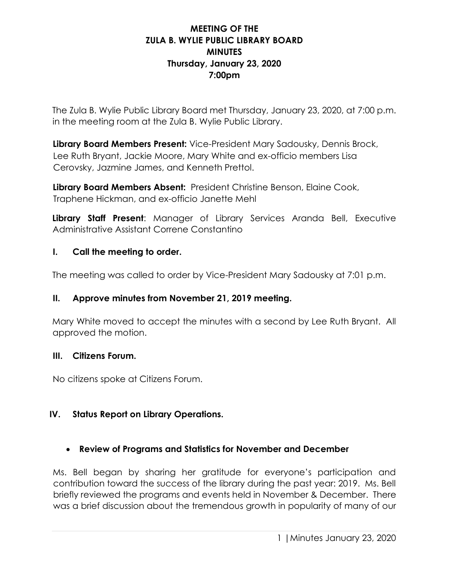## **MEETING OF THE ZULA B. WYLIE PUBLIC LIBRARY BOARD MINUTES Thursday, January 23, 2020 7:00pm**

The Zula B. Wylie Public Library Board met Thursday, January 23, 2020, at 7:00 p.m. in the meeting room at the Zula B. Wylie Public Library.

**Library Board Members Present:** Vice-President Mary Sadousky, Dennis Brock, Lee Ruth Bryant, Jackie Moore, Mary White and ex-officio members Lisa Cerovsky, Jazmine James, and Kenneth Prettol.

**Library Board Members Absent:** President Christine Benson, Elaine Cook, Traphene Hickman, and ex-officio Janette Mehl

**Library Staff Present**: Manager of Library Services Aranda Bell, Executive Administrative Assistant Correne Constantino

### **I. Call the meeting to order.**

The meeting was called to order by Vice-President Mary Sadousky at 7:01 p.m.

### **II. Approve minutes from November 21, 2019 meeting.**

Mary White moved to accept the minutes with a second by Lee Ruth Bryant. All approved the motion.

### **III. Citizens Forum.**

No citizens spoke at Citizens Forum.

## **IV. Status Report on Library Operations.**

## • **Review of Programs and Statistics for November and December**

Ms. Bell began by sharing her gratitude for everyone's participation and contribution toward the success of the library during the past year: 2019. Ms. Bell briefly reviewed the programs and events held in November & December. There was a brief discussion about the tremendous growth in popularity of many of our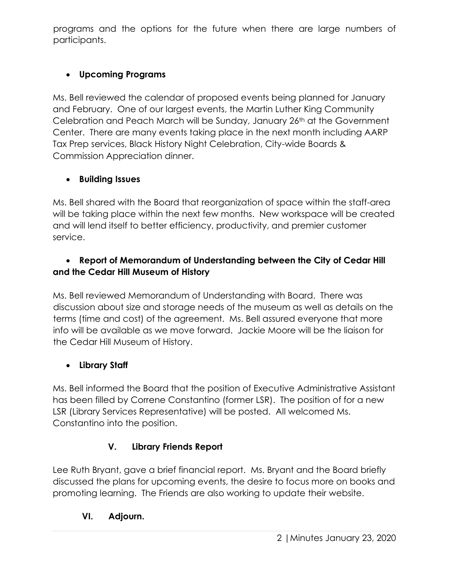programs and the options for the future when there are large numbers of participants.

# • **Upcoming Programs**

Ms. Bell reviewed the calendar of proposed events being planned for January and February. One of our largest events, the Martin Luther King Community Celebration and Peach March will be Sunday, January 26th at the Government Center. There are many events taking place in the next month including AARP Tax Prep services, Black History Night Celebration, City-wide Boards & Commission Appreciation dinner.

# • **Building Issues**

Ms. Bell shared with the Board that reorganization of space within the staff-area will be taking place within the next few months. New workspace will be created and will lend itself to better efficiency, productivity, and premier customer service.

## • **Report of Memorandum of Understanding between the City of Cedar Hill and the Cedar Hill Museum of History**

Ms. Bell reviewed Memorandum of Understanding with Board. There was discussion about size and storage needs of the museum as well as details on the terms (time and cost) of the agreement. Ms. Bell assured everyone that more info will be available as we move forward. Jackie Moore will be the liaison for the Cedar Hill Museum of History.

# • **Library Staff**

Ms. Bell informed the Board that the position of Executive Administrative Assistant has been filled by Correne Constantino (former LSR). The position of for a new LSR (Library Services Representative) will be posted. All welcomed Ms. Constantino into the position.

# **V. Library Friends Report**

Lee Ruth Bryant, gave a brief financial report. Ms. Bryant and the Board briefly discussed the plans for upcoming events, the desire to focus more on books and promoting learning. The Friends are also working to update their website.

# **VI. Adjourn.**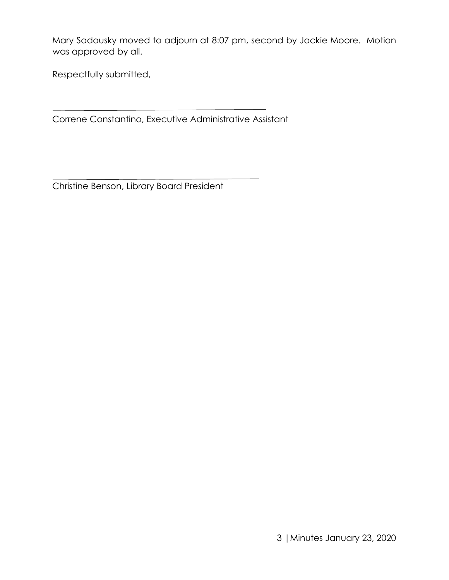Mary Sadousky moved to adjourn at 8:07 pm, second by Jackie Moore. Motion was approved by all.

Respectfully submitted,

Correne Constantino, Executive Administrative Assistant

Christine Benson, Library Board President